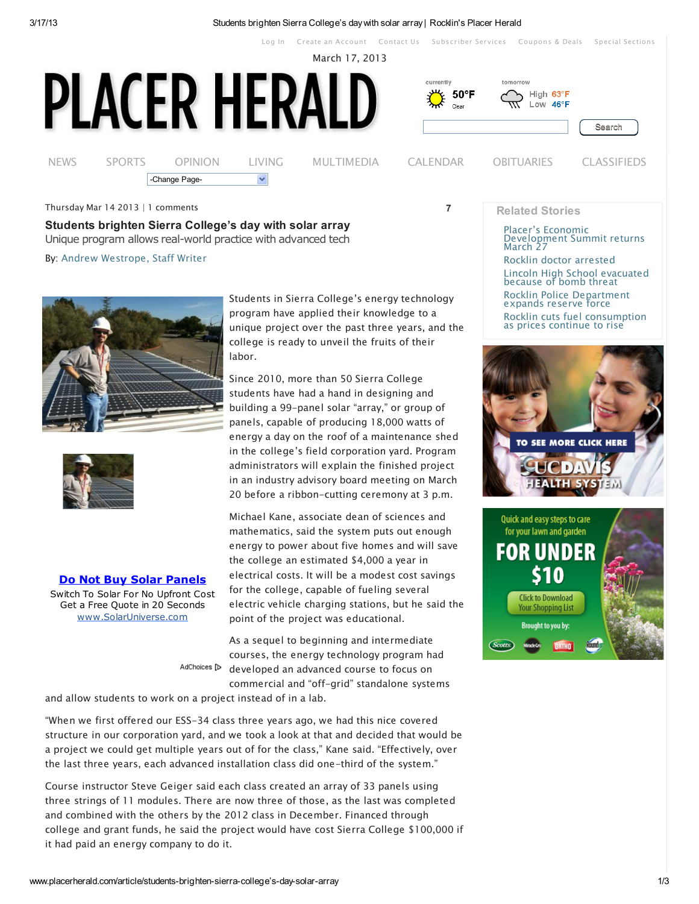[Log](http://www.placerherald.com/user/login) In Create an [Account](http://www.placerherald.com/user/register) [Contact](http://www.placerherald.com/contact/placer-herald) Us [Subscr](https://subscriberservices.goldcountrymedia.com/circulation/)iber Services [Coupons](http://www.norcalmarketplace.com/deals) & Deals Special [Sections](http://specialsections.goldcountrymedia.com/)

March 17, 2013



Thursday Mar 14 2013 | 1 comments

Students brighten Sierra College's day with solar array Unique program allows real-world practice with advanced tech By: Andrew Westrope, Staff Writer





Do Not Buy Solar Panels

Switch To Solar For No Upfront Cost Get a Free Quote in 20 Seconds www.SolarUniverse.com

AdChoices [D

Students in Sierra College's energy technology program have applied their knowledge to a unique project over the past three years, and the college is ready to unveil the fruits of their labor.

Since 2010, more than 50 Sierra College students have had a hand in designing and building a 99-panel solar "array," or group of panels, capable of producing 18,000 watts of energy a day on the roof of a maintenance shed in the college's field corporation yard. Program administrators will explain the finished project in an industry advisory board meeting on March 20 before a ribbon-cutting ceremony at 3 p.m.

Michael Kane, associate dean of sciences and mathematics, said the system puts out enough energy to power about five homes and will save the college an estimated \$4,000 a year in electrical costs. It will be a modest cost savings for the college, capable of fueling several electric vehicle charging stations, but he said the point of the project was educational.

As a sequel to beginning and intermediate courses, the energy technology program had developed an advanced course to focus on commercial and "off-grid" standalone systems

and allow students to work on a project instead of in a lab.

"When we first offered our ESS-34 class three years ago, we had this nice covered structure in our corporation yard, and we took a look at that and decided that would be a project we could get multiple years out of for the class," Kane said. "Effectively, over the last three years, each advanced installation class did one-third of the system."

Course instructor Steve Geiger said each class created an array of 33 panels using three strings of 11 modules. There are now three of those, as the last was completed and combined with the others by the 2012 class in December. Financed through college and grant funds, he said the project would have cost Sierra College \$100,000 if it had paid an energy company to do it.

7

## Related Stories

Placer's Economic [Development](http://www.thepresstribune.com/article/placer%E2%80%99s-economic-development-summit-returns-march-27) Summit returns March 27

Rocklin doctor [arrested](http://www.placerherald.com/article/rocklin-doctor-arrested-0) Lincoln High School [evacuated](http://www.lincolnnewsmessenger.com/article/lincoln-high-school-evacuated-because-bomb-threat) because of bomb threat Rocklin Police [Department](http://www.placerherald.com/article/rocklin-police-department-expands-reserve-force) expands reserve force Rocklin cuts fuel [consumption](http://www.placerherald.com/article/rocklin-cuts-fuel-consumption-prices-continue-rise) as prices continue to rise



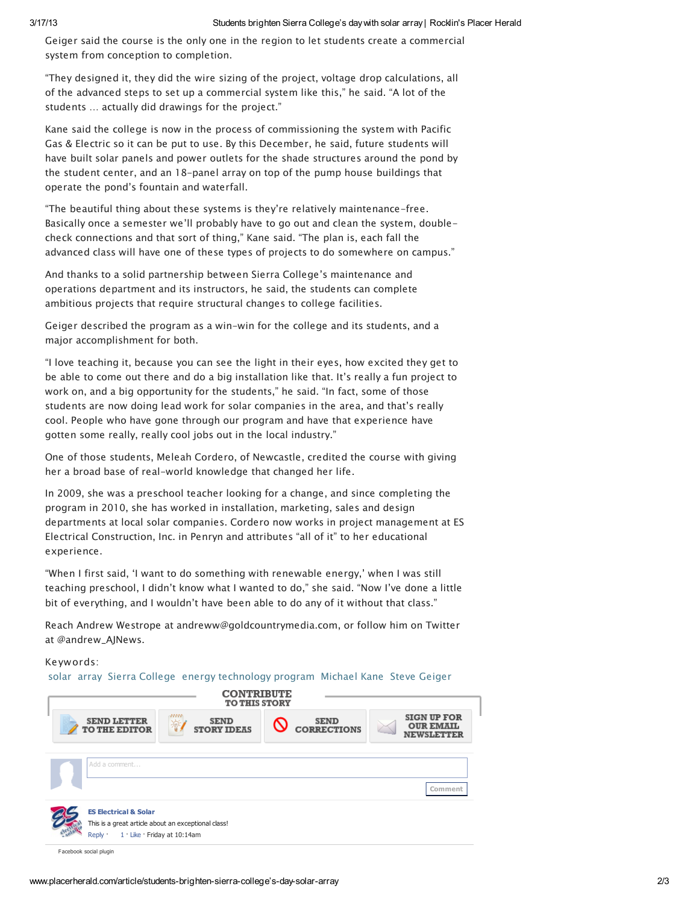Geiger said the course is the only one in the region to let students create a commercial system from conception to completion.

"They designed it, they did the wire sizing of the project, voltage drop calculations, all of the advanced steps to set up a commercial system like this," he said. "A lot of the students … actually did drawings for the project."

Kane said the college is now in the process of commissioning the system with Pacific Gas & Electric so it can be put to use. By this December, he said, future students will have built solar panels and power outlets for the shade structures around the pond by the student center, and an 18-panel array on top of the pump house buildings that operate the pond's fountain and waterfall.

"The beautiful thing about these systems is they're relatively maintenance-free. Basically once a semester we'll probably have to go out and clean the system, doublecheck connections and that sort of thing," Kane said. "The plan is, each fall the advanced class will have one of these types of projects to do somewhere on campus."

And thanks to a solid partnership between Sierra College's maintenance and operations department and its instructors, he said, the students can complete ambitious projects that require structural changes to college facilities.

Geiger described the program as a win-win for the college and its students, and a major accomplishment for both.

"I love teaching it, because you can see the light in their eyes, how excited they get to be able to come out there and do a big installation like that. It's really a fun project to work on, and a big opportunity for the students," he said. "In fact, some of those students are now doing lead work for solar companies in the area, and that's really cool. People who have gone through our program and have that experience have gotten some really, really cool jobs out in the local industry."

One of those students, Meleah Cordero, of Newcastle, credited the course with giving her a broad base of real-world knowledge that changed her life.

In 2009, she was a preschool teacher looking for a change, and since completing the program in 2010, she has worked in installation, marketing, sales and design departments at local solar companies. Cordero now works in project management at ES Electrical Construction, Inc. in Penryn and attributes "all of it" to her educational experience.

"When I first said, 'I want to do something with renewable energy,' when I was still teaching preschool, I didn't know what I wanted to do," she said. "Now I've done a little bit of everything, and I wouldn't have been able to do any of it without that class."

Reach Andrew Westrope at andreww@goldcountrymedia.com, or follow him on Twitter at @andrew\_AJNews.

Keywords:

[solar](http://www.placerherald.com/keywords/solar) [array](http://www.placerherald.com/keywords/array) Sierra [College](http://www.placerherald.com/keywords/sierra-college-5) energy [technology](http://www.placerherald.com/keywords/energy-technology-program) program [Michael](http://www.placerherald.com/keywords/michael-kane) Kane Steve [Geiger](http://www.placerherald.com/keywords/steve-geiger)